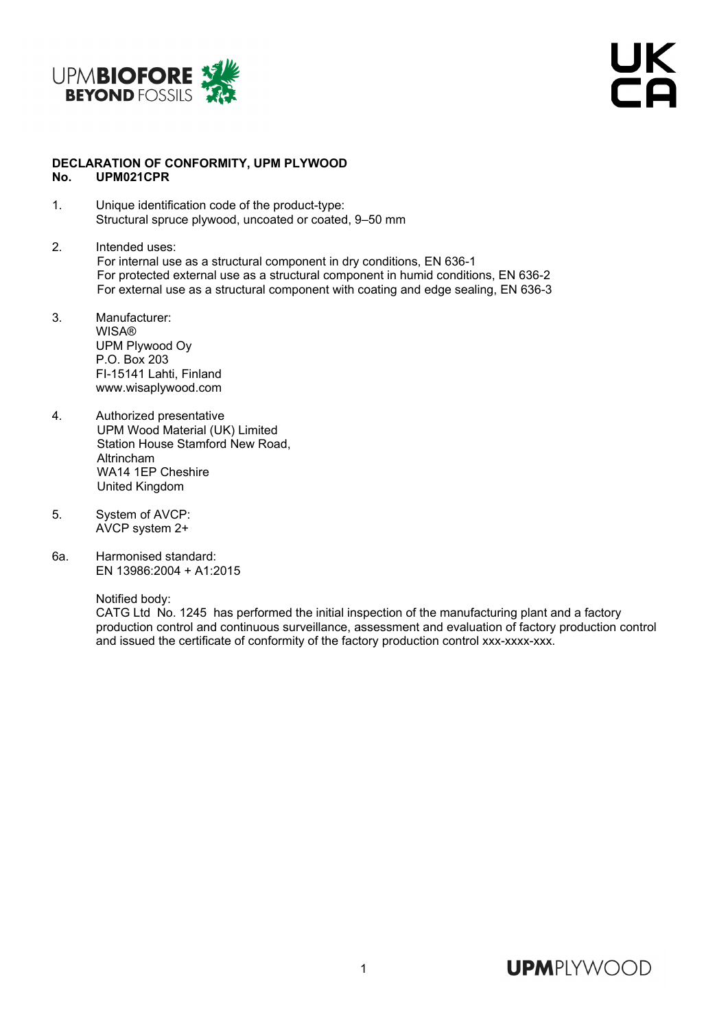

UK<br>Ta

## **DECLARATION OF CONFORMITY, UPM PLYWOOD No. UPM021CPR**

- 1. Unique identification code of the product-type: Structural spruce plywood, uncoated or coated, 9–50 mm
- 2. Intended uses: For internal use as a structural component in dry conditions, EN 636-1 For protected external use as a structural component in humid conditions, EN 636-2 For external use as a structural component with coating and edge sealing, EN 636-3
- 3. Manufacturer: WISA® UPM Plywood Oy P.O. Box 203 FI-15141 Lahti, Finland www.wisaplywood.com
- 4. Authorized presentative UPM Wood Material (UK) Limited Station House Stamford New Road. Altrincham WA14 1EP Cheshire United Kingdom
- 5. System of AVCP: AVCP system 2+
- 6a. Harmonised standard: EN 13986:2004 + A1:2015

Notified body:

 CATG Ltd No. 1245 has performed the initial inspection of the manufacturing plant and a factory production control and continuous surveillance, assessment and evaluation of factory production control and issued the certificate of conformity of the factory production control xxx-xxxx-xxx.

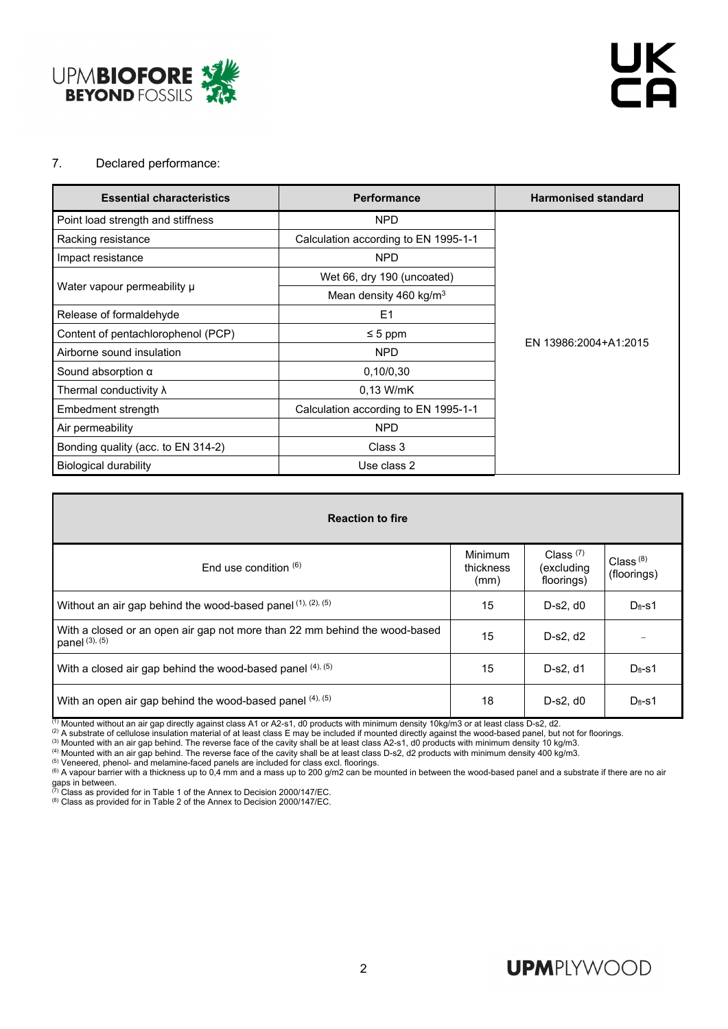

## 7. Declared performance:

| <b>Essential characteristics</b>   | <b>Performance</b>                   | <b>Harmonised standard</b> |  |  |
|------------------------------------|--------------------------------------|----------------------------|--|--|
| Point load strength and stiffness  | NPD                                  |                            |  |  |
| Racking resistance                 | Calculation according to EN 1995-1-1 |                            |  |  |
| Impact resistance                  | <b>NPD</b>                           |                            |  |  |
|                                    | Wet 66, dry 190 (uncoated)           |                            |  |  |
| Water vapour permeability u        | Mean density 460 kg/m <sup>3</sup>   |                            |  |  |
| Release of formaldehyde            | E <sub>1</sub>                       |                            |  |  |
| Content of pentachlorophenol (PCP) | $\leq 5$ ppm                         |                            |  |  |
| Airborne sound insulation          | <b>NPD</b>                           | EN 13986:2004+A1:2015      |  |  |
| Sound absorption $\alpha$          | 0,10/0,30                            |                            |  |  |
| Thermal conductivity $\lambda$     | $0.13$ W/mK                          |                            |  |  |
| Embedment strength                 | Calculation according to EN 1995-1-1 |                            |  |  |
| Air permeability                   | <b>NPD</b>                           |                            |  |  |
| Bonding quality (acc. to EN 314-2) | Class 3                              |                            |  |  |
| <b>Biological durability</b>       | Use class 2                          |                            |  |  |

| <b>Reaction to fire</b>                                                                           |                              |                                         |                            |  |  |  |  |  |
|---------------------------------------------------------------------------------------------------|------------------------------|-----------------------------------------|----------------------------|--|--|--|--|--|
| End use condition $(6)$                                                                           | Minimum<br>thickness<br>(mm) | Class $(7)$<br>(excluding<br>floorings) | Class $(8)$<br>(floorings) |  |  |  |  |  |
| Without an air gap behind the wood-based panel (1), (2), (5)                                      | 15                           | $D-s2. d0$                              | $D_{fl}$ -s1               |  |  |  |  |  |
| With a closed or an open air gap not more than 22 mm behind the wood-based<br>panel $(3)$ , $(5)$ | 15                           | D-s2, d2                                |                            |  |  |  |  |  |
| With a closed air gap behind the wood-based panel (4), (5)                                        | 15                           | D-s2, d1                                | $D_{fl}$ -s1               |  |  |  |  |  |
| With an open air gap behind the wood-based panel (4), (5)                                         | 18                           | $D-s2, d0$                              | $D_{fl}$ -s1               |  |  |  |  |  |

(1) Mounted without an air gap directly against class A1 or A2-s1, d0 products with minimum density 10kg/m3 or at least class D-s2, d2.<br>
(2) A substrate of cellulose insulation material of at least class E may be included gaps in between.<br><sup>(7)</sup> Class as provided for in Table 1 of the Annex to Decision 2000/147/EC.<br><sup>(8)</sup> Class as provided for in Table 2 of the Annex to Decision 2000/147/EC.

## **UPMPLYWOOD**